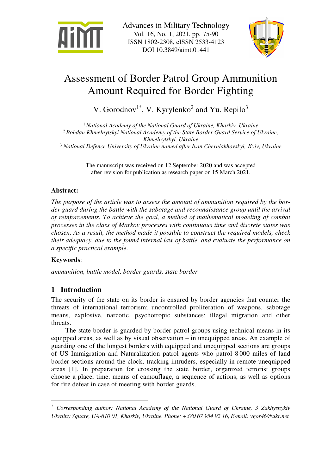



# Assessment of Border Patrol Group Ammunition Amount Required for Border Fighting

V. Gorodnov<sup>1\*</sup>, V. Kyrylenko<sup>2</sup> and Yu. Repilo<sup>3</sup>

 *National Academy of the National Guard of Ukraine, Kharkiv, Ukraine Bohdan Khmelnytskyi National Academy of the State Border Guard Service of Ukraine, Khmelnytskyi, Ukraine National Defence University of Ukraine named after Іvan Cherniakhovskyi, Кyiv, Ukraine* 

> The manuscript was received on 12 September 2020 and was accepted after revision for publication as research paper on 15 March 2021.

# **Abstract:**

*The purpose of the article was to assess the amount of ammunition required by the border guard during the battle with the sabotage and reconnaissance group until the arrival of reinforcements. To achieve the goal, a method of mathematical modeling of combat processes in the class of Markov processes with continuous time and discrete states was chosen. As a result, the method made it possible to construct the required models, check their adequacy, due to the found internal law of battle, and evaluate the performance on a specific practical example.* 

# **Keywords**:

 $\overline{a}$ 

*ammunition, battle model, border guards, state border*

# **1 Introduction**

The security of the state on its border is ensured by border agencies that counter the threats of international terrorism; uncontrolled proliferation of weapons, sabotage means, explosive, narcotic, psychotropic substances; illegal migration and other threats.

The state border is guarded by border patrol groups using technical means in its equipped areas, as well as by visual observation – in unequipped areas. An example of guarding one of the longest borders with equipped and unequipped sections are groups of US Immigration and Naturalization patrol agents who patrol 8 000 miles of land border sections around the clock, tracking intruders, especially in remote unequipped areas [1]. In preparation for crossing the state border, organized terrorist groups choose a place, time, means of camouflage, a sequence of actions, as well as options for fire defeat in case of meeting with border guards.

<sup>\*</sup> *Corresponding author: National Academy of the National Guard of Ukraine, 3 Zakhysnykiv Ukrainy Square, UA-610 01, Kharkiv, Ukraine. Phone: +380 67 954 92 16, E-mail: vgor46@ukr.net*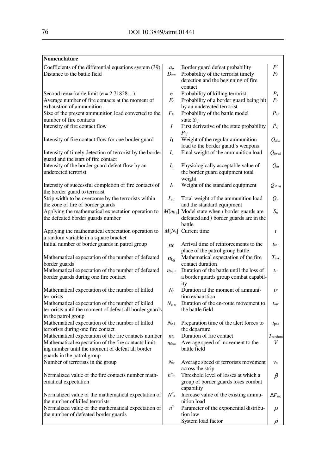#### **Nomenclature**

| Coefficients of the differential equations system (39)<br>Distance to the battle field |                  | Border guard defeat probability<br>Probability of the terrorist timely | $P^*$<br>$P_{\rm d}$      |
|----------------------------------------------------------------------------------------|------------------|------------------------------------------------------------------------|---------------------------|
|                                                                                        |                  | detection and the beginning of fire<br>contact                         |                           |
| Second remarkable limit ( $e = 2.71828$ )                                              | e                | Probability of killing terrorist                                       | $P_{\rm e}$               |
| Average number of fire contacts at the moment of                                       | $F_{\rm c}$      | Probability of a border guard being hit                                | $P_{\rm h}$               |
| exhaustion of ammunition                                                               |                  | by an undetected terrorist                                             |                           |
| Size of the present ammunition load converted to the                                   | $F_{\rm fc}$     | Probability of the battle model                                        | $P_{ij}$                  |
| number of fire contacts                                                                |                  | state $S_{ij}$                                                         |                           |
| Intensity of fire contact flow                                                         | Ι                | First derivative of the state probability                              | $\dot{P}_{ij}$            |
|                                                                                        |                  | $P_{ij}$                                                               |                           |
| Intensity of fire contact flow for one border guard                                    | $I_1$            | Weight of the regular ammunition                                       | $Q_{\rm alw}$             |
|                                                                                        |                  | load to the border guard's weapons                                     |                           |
| Intensity of timely detection of terrorist by the border                               | $I_d$            | Final weight of the ammunition load                                    | $Q_{\text{fw}}$ al        |
| guard and the start of fire contact                                                    |                  |                                                                        |                           |
| Intensity of the border guard defeat flow by an                                        | $I_{\rm h}$      | Physiologically acceptable value of                                    | $Q_m$                     |
| undetected terrorist                                                                   |                  | the border guard equipment total                                       |                           |
|                                                                                        |                  | weight                                                                 |                           |
| Intensity of successful completion of fire contacts of                                 | $I_{\rm r}$      | Weight of the standard equipment                                       | $Q_{st,eq}$               |
| the border guard to terrorist                                                          |                  |                                                                        |                           |
| Strip width to be overcome by the terrorists within                                    | $L_{\rm str}$    | Total weight of the ammunition load                                    | $Q_w$                     |
| the zone of fire of border guards                                                      |                  | and the standard equipment                                             |                           |
| Applying the mathematical expectation operation to                                     |                  | $M[n_{\text{bg}}]$ Model state when <i>i</i> border guards are         | $S_{ij}$                  |
| the defeated border guards number                                                      |                  | defeated and j border guards are in the                                |                           |
|                                                                                        |                  | battle                                                                 |                           |
| Applying the mathematical expectation operation to                                     |                  | $M[Ne]$ Current time                                                   | t                         |
| a random variable in a square bracket                                                  |                  |                                                                        |                           |
| Initial number of border guards in patrol group                                        | $n_0$            | Arrival time of reinforcements to the                                  | $t_{\rm ar.t}$            |
|                                                                                        |                  | place of the patrol group battle                                       |                           |
| Mathematical expectation of the number of defeated                                     | $n_{\text{bg}}$  | Mathematical expectation of the fire                                   | $T_{\rm avr}$             |
| border guards                                                                          |                  | contact duration                                                       |                           |
| Mathematical expectation of the number of defeated                                     | $n_{bg.1}$       | Duration of the battle until the loss of                               | $t_{cr}$                  |
| border guards during one fire contact                                                  |                  | a border guards group combat capabil-                                  |                           |
|                                                                                        |                  | ity                                                                    |                           |
| Mathematical expectation of the number of killed                                       | $N_{\rm e}$      | Duration at the moment of ammuni-                                      | $t_F$                     |
| terrorists                                                                             |                  | tion exhaustion                                                        |                           |
| Mathematical expectation of the number of killed                                       | $N_{e_{\infty}}$ | Duration of the en-route movement to                                   | $t_{\rm mv}$              |
| terrorists until the moment of defeat all border guards                                |                  | the battle field                                                       |                           |
| in the patrol group                                                                    |                  |                                                                        |                           |
| Mathematical expectation of the number of killed                                       | $N_{e,1}$        | Preparation time of the alert forces to                                | $t_{pr.t}$                |
| terrorists during one fire contact                                                     |                  | the departure                                                          |                           |
| Mathematical expectation of the fire contacts number                                   | $n_{\rm fc}$     | Duration of fire contact                                               | T <sub>random</sub>       |
| Mathematical expectation of the fire contacts limit-                                   | $n_{\text{fco}}$ | Average speed of movement to the                                       | V                         |
| ing number until the moment of defeat all border                                       |                  | battle field                                                           |                           |
| guards in the patrol group                                                             |                  |                                                                        |                           |
| Number of terrorists in the group                                                      | $N_{\rm tr}$     | Average speed of terrorists movement                                   | $v_{tr}$                  |
|                                                                                        |                  | across the strip                                                       |                           |
| Normalized value of the fire contacts number math-                                     | $n^*$ fc         | Threshold level of losses at which a                                   | $\beta$                   |
| ematical expectation                                                                   |                  | group of border guards loses combat                                    |                           |
|                                                                                        |                  | capability                                                             |                           |
| Normalized value of the mathematical expectation of                                    | $N^*$ e          | Increase value of the existing ammu-                                   | $\Delta F_{\textrm{inc}}$ |
| the number of killed terrorists                                                        |                  | nition load                                                            |                           |
| Normalized value of the mathematical expectation of                                    | $n^*$            | Parameter of the exponential distribu-                                 | $\mu$                     |
| the number of defeated border guards                                                   |                  | tion law                                                               |                           |
|                                                                                        |                  | System load factor                                                     | $\rho$                    |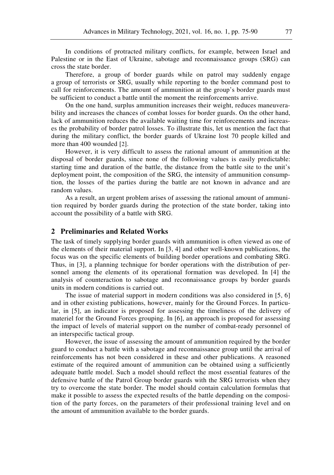In conditions of protracted military conflicts, for example, between Israel and Palestine or in the East of Ukraine, sabotage and reconnaissance groups (SRG) can cross the state border.

Therefore, a group of border guards while on patrol may suddenly engage a group of terrorists or SRG, usually while reporting to the border command post to call for reinforcements. The amount of ammunition at the group's border guards must be sufficient to conduct a battle until the moment the reinforcements arrive.

On the one hand, surplus ammunition increases their weight, reduces maneuverability and increases the chances of combat losses for border guards. On the other hand, lack of ammunition reduces the available waiting time for reinforcements and increases the probability of border patrol losses. To illustrate this, let us mention the fact that during the military conflict, the border guards of Ukraine lost 70 people killed and more than 400 wounded [2].

However, it is very difficult to assess the rational amount of ammunition at the disposal of border guards, since none of the following values is easily predictable: starting time and duration of the battle, the distance from the battle site to the unit's deployment point, the composition of the SRG, the intensity of ammunition consumption, the losses of the parties during the battle are not known in advance and are random values.

As a result, an urgent problem arises of assessing the rational amount of ammunition required by border guards during the protection of the state border, taking into account the possibility of a battle with SRG.

## **2 Preliminaries and Related Works**

The task of timely supplying border guards with ammunition is often viewed as one of the elements of their material support. In [3, 4] and other well-known publications, the focus was on the specific elements of building border operations and combating SRG. Thus, in [3], a planning technique for border operations with the distribution of personnel among the elements of its operational formation was developed. In [4] the analysis of counteraction to sabotage and reconnaissance groups by border guards units in modern conditions is carried out.

The issue of material support in modern conditions was also considered in [5, 6] and in other existing publications, however, mainly for the Ground Forces. In particular, in [5], an indicator is proposed for assessing the timeliness of the delivery of materiel for the Ground Forces grouping. In [6], an approach is proposed for assessing the impact of levels of material support on the number of combat-ready personnel of an interspecific tactical group.

However, the issue of assessing the amount of ammunition required by the border guard to conduct a battle with a sabotage and reconnaissance group until the arrival of reinforcements has not been considered in these and other publications. A reasoned estimate of the required amount of ammunition can be obtained using a sufficiently adequate battle model. Such a model should reflect the most essential features of the defensive battle of the Patrol Group border guards with the SRG terrorists when they try to overcome the state border. The model should contain calculation formulas that make it possible to assess the expected results of the battle depending on the composition of the party forces, on the parameters of their professional training level and on the amount of ammunition available to the border guards.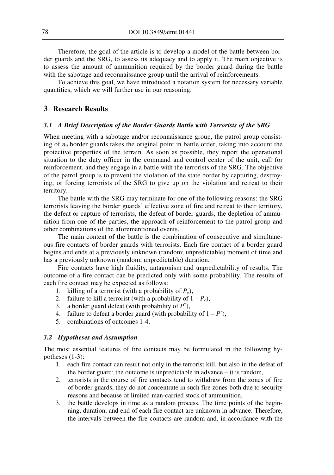Therefore, the goal of the article is to develop a model of the battle between border guards and the SRG, to assess its adequacy and to apply it. The main objective is to assess the amount of ammunition required by the border guard during the battle with the sabotage and reconnaissance group until the arrival of reinforcements.

To achieve this goal, we have introduced a notation system for necessary variable quantities, which we will further use in our reasoning.

# **3 Research Results**

#### *3.1 A Brief Description of the Border Guards Battle with Terrorists of the SRG*

When meeting with a sabotage and/or reconnaissance group, the patrol group consisting of  $n_0$  border guards takes the original point in battle order, taking into account the protective properties of the terrain. As soon as possible, they report the operational situation to the duty officer in the command and control center of the unit, call for reinforcement, and they engage in a battle with the terrorists of the SRG. The objective of the patrol group is to prevent the violation of the state border by capturing, destroying, or forcing terrorists of the SRG to give up on the violation and retreat to their territory.

The battle with the SRG may terminate for one of the following reasons: the SRG terrorists leaving the border guards' effective zone of fire and retreat to their territory, the defeat or capture of terrorists, the defeat of border guards, the depletion of ammunition from one of the parties, the approach of reinforcement to the patrol group and other combinations of the aforementioned events.

The main content of the battle is the combination of consecutive and simultaneous fire contacts of border guards with terrorists. Each fire contact of a border guard begins and ends at a previously unknown (random; unpredictable) moment of time and has a previously unknown (random; unpredictable) duration.

Fire contacts have high fluidity, antagonism and unpredictability of results. The outcome of a fire contact can be predicted only with some probability. The results of each fire contact may be expected as follows:

- 1. killing of a terrorist (with a probability of *Pe*),
- 2. failure to kill a terrorist (with a probability of  $1 P_e$ ),
- 3. a border guard defeat (with probability of  $P^*$ ),
- 4. failure to defeat a border guard (with probability of  $1 P^*$ ),
- 5. combinations of outcomes 1-4.

#### *3.2 Hypotheses and Assumption*

The most essential features of fire contacts may be formulated in the following hypotheses (1-3):

- 1. each fire contact can result not only in the terrorist kill, but also in the defeat of the border guard; the outcome is unpredictable in advance – it is random,
- 2. terrorists in the course of fire contacts tend to withdraw from the zones of fire of border guards, they do not concentrate in such fire zones both due to security reasons and because of limited man-carried stock of ammunition,
- 3. the battle develops in time as a random process. The time points of the beginning, duration, and end of each fire contact are unknown in advance. Therefore, the intervals between the fire contacts are random and, in accordance with the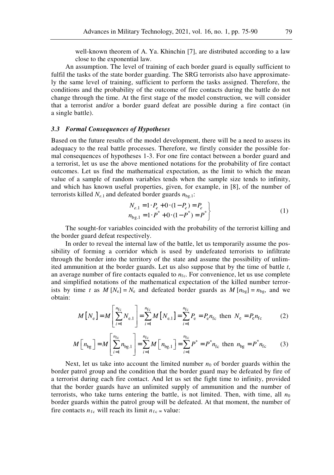well-known theorem of A. Ya. Khinchin [7], are distributed according to a law close to the exponential law.

An assumption. The level of training of each border guard is equally sufficient to fulfil the tasks of the state border guarding. The SRG terrorists also have approximately the same level of training, sufficient to perform the tasks assigned. Therefore, the conditions and the probability of the outcome of fire contacts during the battle do not change through the time. At the first stage of the model construction, we will consider that a terrorist and/or a border guard defeat are possible during a fire contact (in a single battle).

#### *3.3 Formal Consequences of Hypotheses*

Based on the future results of the model development, there will be a need to assess its adequacy to the real battle processes. Therefore, we firstly consider the possible formal consequences of hypotheses 1-3. For one fire contact between a border guard and a terrorist, let us use the above mentioned notations for the probability of fire contact outcomes. Let us find the mathematical expectation, as the limit to which the mean value of a sample of random variables tends when the sample size tends to infinity, and which has known useful properties, given, for example, in [8], of the number of terrorists killed *N<sup>e</sup>*.1 and defeated border guards *n*bg.1:

$$
N_{e,1} = 1 \cdot P_e + 0 \cdot (1 - P_e) = P_e
$$
  
\n
$$
n_{\text{bg},1} = 1 \cdot P^* + 0 \cdot (1 - P^*) = P^*
$$
\n(1)

The sought-for variables coincided with the probability of the terrorist killing and the border guard defeat respectively.

In order to reveal the internal law of the battle, let us temporarily assume the possibility of forming a corridor which is used by undefeated terrorists to infiltrate through the border into the territory of the state and assume the possibility of unlimited ammunition at the border guards. Let us also suppose that by the time of battle *t*, an average number of fire contacts equaled to  $n_{\text{fc}}$ . For convenience, let us use complete and simplified notations of the mathematical expectation of the killed number terrorists by time *t* as  $M[N_e] = N_e$  and defeated border guards as  $M[n_{bg}] = n_{bg}$ , and we obtain:

$$
M[N_e] = M\left[\sum_{i=1}^{n_{\rm fc}} N_{\rm e,1}\right] = \sum_{i=1}^{n_{\rm fc}} M[N_{\rm e,1}] = \sum_{i=1}^{n_{\rm fc}} P_{\rm e} = P_{\rm e} n_{\rm fc} \quad \text{then } N_{\rm e} = P_{\rm e} n_{\rm fc} \tag{2}
$$

$$
M\left[n_{\text{bg}}\right] = M\left[\sum_{i=1}^{n_{\text{fc}}} n_{\text{bg},1}\right] = \sum_{i=1}^{n_{\text{fc}}} M\left[n_{\text{bg},1}\right] = \sum_{i=1}^{n_{\text{fc}}} P^* = P^* n_{\text{fc}} \text{ then } n_{\text{bg}} = P^* n_{\text{fc}} \tag{3}
$$

Next, let us take into account the limited number  $n_0$  of border guards within the border patrol group and the condition that the border guard may be defeated by fire of a terrorist during each fire contact. And let us set the fight time to infinity, provided that the border guards have an unlimited supply of ammunition and the number of terrorists, who take turns entering the battle, is not limited. Then, with time, all  $n<sub>0</sub>$ border guards within the patrol group will be defeated. At that moment, the number of fire contacts  $n_{\text{fc}}$  will reach its limit  $n_{\text{fc}} \approx$  value: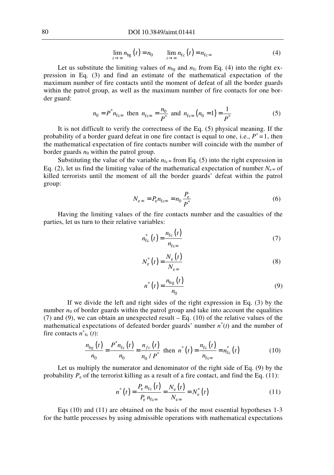$$
\lim_{t \to \infty} n_{\text{bg}}(t) = n_0 \qquad \lim_{t \to \infty} n_{\text{fc}}(t) = n_{\text{fc}} \tag{4}
$$

Let us substitute the limiting values of  $n_{bg}$  and  $n_{fc}$  from Eq. (4) into the right expression in Eq. (3) and find an estimate of the mathematical expectation of the maximum number of fire contacts until the moment of defeat of all the border guards within the patrol group, as well as the maximum number of fire contacts for one border guard:

$$
n_0 = P^* n_{f\text{cos}}
$$
 then  $n_{f\text{cos}} = \frac{n_0}{P^*}$  and  $n_{f\text{cos}}(n_0 = 1) = \frac{1}{P^*}$  (5)

It is not difficult to verify the correctness of the Eq. (5) physical meaning. If the probability of a border guard defeat in one fire contact is equal to one, i.e.,  $P^* = 1$ , then the mathematical expectation of fire contacts number will coincide with the number of border guards  $n_0$  within the patrol group.

Substituting the value of the variable  $n_{\text{fc}} \approx$  from Eq. (5) into the right expression in Eq. (2), let us find the limiting value of the mathematical expectation of number  $N_{e^{\infty}}$  of killed terrorists until the moment of all the border guards' defeat within the patrol group:

$$
N_{e\infty} = P_e n_{f_{C\infty}} = n_0 \frac{P_e}{P^*}
$$
 (6)

Having the limiting values of the fire contacts number and the casualties of the parties, let us turn to their relative variables:

$$
n_{\text{fc}}^*(t) = \frac{n_{\text{fc}}(t)}{n_{\text{fc}}}
$$
\n<sup>(7)</sup>

$$
N_{\rm e}^*(t) = \frac{N_{\rm e}(t)}{N_{\rm e}}\tag{8}
$$

$$
n^*(t) = \frac{n_{\text{bg}}(t)}{n_0} \tag{9}
$$

If we divide the left and right sides of the right expression in Eq. (3) by the number  $n_0$  of border guards within the patrol group and take into account the equalities (7) and (9), we can obtain an unexpected result – Eq. (10) of the relative values of the mathematical expectations of defeated border guards' number  $n^*(t)$  and the number of fire contacts  $n^*_{\text{fc}}(t)$ :

$$
\frac{n_{bg}(t)}{n_0} = \frac{P^* n_{fc}(t)}{n_0} = \frac{n_{fc}(t)}{n_0 / P^*} \text{ then } n^*(t) = \frac{n_{fc}(t)}{n_{fc}} = n_{fc}^*(t) \tag{10}
$$

Let us multiply the numerator and denominator of the right side of Eq. (9) by the probability  $P_e$  of the terrorist killing as a result of a fire contact, and find the Eq. (11):

$$
n^*(t) = \frac{P_{\rm e} n_{\rm fc}(t)}{P_{\rm e} n_{\rm fcc}} = \frac{N_{\rm e}(t)}{N_{\rm ecc}} = N_{\rm e}^*(t)
$$
(11)

Eqs (10) and (11) are obtained on the basis of the most essential hypotheses 1-3 for the battle processes by using admissible operations with mathematical expectations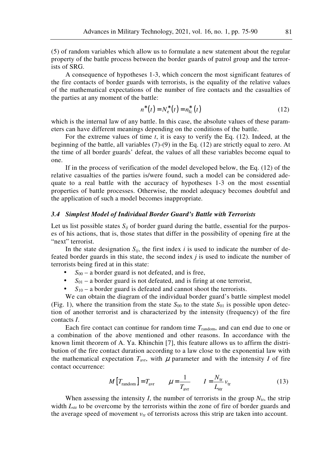(5) of random variables which allow us to formulate a new statement about the regular property of the battle process between the border guards of patrol group and the terrorists of SRG.

A consequence of hypotheses 1-3, which concern the most significant features of the fire contacts of border guards with terrorists, is the equality of the relative values of the mathematical expectations of the number of fire contacts and the casualties of the parties at any moment of the battle:

$$
n^*(t) = N_e^*(t) = n_{\text{fc}}^*(t)
$$
\n(12)

which is the internal law of any battle. In this case, the absolute values of these parameters can have different meanings depending on the conditions of the battle.

For the extreme values of time *t*, it is easy to verify the Eq. (12). Indeed, at the beginning of the battle, all variables (7)-(9) in the Eq. (12) are strictly equal to zero. At the time of all border guards' defeat, the values of all these variables become equal to one.

If in the process of verification of the model developed below, the Eq. (12) of the relative casualties of the parties is/were found, such a model can be considered adequate to a real battle with the accuracy of hypotheses 1-3 on the most essential properties of battle processes. Otherwise, the model adequacy becomes doubtful and the application of such a model becomes inappropriate.

#### *3.4 Simplest Model of Individual Border Guard's Battle with Terrorists*

Let us list possible states  $S_{ij}$  of border guard during the battle, essential for the purposes of his actions, that is, those states that differ in the possibility of opening fire at the "next" terrorist.

In the state designation  $S_{ii}$ , the first index *i* is used to indicate the number of defeated border guards in this state, the second index *j* is used to indicate the number of terrorists being fired at in this state:

- $S_{00}$  a border guard is not defeated, and is free,
- $S_{01}$  a border guard is not defeated, and is firing at one terrorist,
- $S_{10}$  a border guard is defeated and cannot shoot the terrorists.

We can obtain the diagram of the individual border guard's battle simplest model (Fig. 1), where the transition from the state  $S_{00}$  to the state  $S_{01}$  is possible upon detection of another terrorist and is characterized by the intensity (frequency) of the fire contacts *I*.

Each fire contact can continue for random time *T*random, and can end due to one or a combination of the above mentioned and other reasons. In accordance with the known limit theorem of A. Ya. Khinchin [7], this feature allows us to affirm the distribution of the fire contact duration according to a law close to the exponential law with the mathematical expectation  $T_{\text{avr}}$ , with  $\mu$  parameter and with the intensity *I* of fire contact occurrence:

$$
M\left[T_{\text{random}}\right] = T_{\text{avr}} \qquad \mu = \frac{1}{T_{\text{avr}}} \qquad I = \frac{N_{\text{tr}}}{L_{\text{str}}} v_{\text{tr}} \tag{13}
$$

When assessing the intensity *I*, the number of terrorists in the group  $N_{tr}$ , the strip width  $L_{str}$  to be overcome by the terrorists within the zone of fire of border guards and the average speed of movement  $v_{tr}$  of terrorists across this strip are taken into account.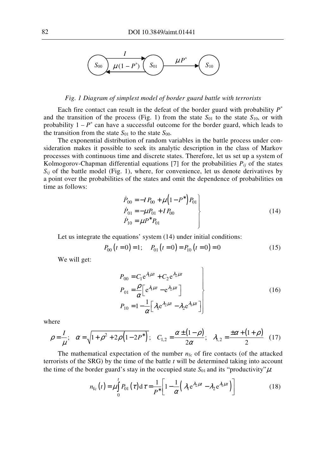

#### *Fig. 1 Diagram of simplest model of border guard battle with terrorists*

Each fire contact can result in the defeat of the border guard with probability  $P^*$ and the transition of the process (Fig. 1) from the state  $S_{01}$  to the state  $S_{10}$ , or with probability  $1 - P^*$  can have a successful outcome for the border guard, which leads to the transition from the state  $S_{01}$  to the state  $S_{00}$ .

The exponential distribution of random variables in the battle process under consideration makes it possible to seek its analytic description in the class of Markov processes with continuous time and discrete states. Therefore, let us set up a system of Kolmogorov-Chapman differential equations [7] for the probabilities  $P_{ii}$  of the states  $S_{ij}$  of the battle model (Fig. 1), where, for convenience, let us denote derivatives by a point over the probabilities of the states and omit the dependence of probabilities on time as follows:

$$
\dot{P}_{00} = -IP_{00} + \mu \left(1 - P^* \right) P_{01} \n\dot{P}_{01} = -\mu P_{01} + IP_{00} \n\dot{P}_{10} = \mu P^* P_{01}
$$
\n(14)

Let us integrate the equations' system (14) under initial conditions:

$$
P_{00}(t=0) = 1; \quad P_{01}(t=0) = P_{10}(t=0) = 0 \tag{15}
$$

We will get:

$$
P_{00} = C_1 e^{\lambda_1 \mu t} + C_2 e^{\lambda_2 \mu t}
$$
  
\n
$$
P_{01} = \frac{\rho}{\alpha} \left[ e^{\lambda_1 \mu t} - e^{\lambda_2 \mu t} \right]
$$
  
\n
$$
P_{10} = 1 - \frac{1}{\alpha} \left[ \lambda_1 e^{\lambda_2 \mu t} - \lambda_2 e^{\lambda_1 \mu t} \right]
$$
\n(16)

where

$$
\rho = \frac{I}{\mu}; \quad \alpha = \sqrt{1 + \rho^2 + 2\rho \left(1 - 2P^*\right)}; \quad C_{1,2} = \frac{\alpha \pm (1 - \rho)}{2\alpha}; \quad \lambda_{1,2} = \frac{\pm \alpha + (1 + \rho)}{2} \quad (17)
$$

The mathematical expectation of the number  $n_{fc}$  of fire contacts (of the attacked terrorists of the SRG) by the time of the battle *t* will be determined taking into account the time of the border guard's stay in the occupied state  $S_{01}$  and its "productivity" $\mu$ :

$$
n_{\rm fc}(t) = \mu \int_{0}^{t} P_{01}(\tau) d\tau = \frac{1}{P^*} \bigg[ 1 - \frac{1}{\alpha} \bigg( \lambda_1 e^{\lambda_2 \mu t} - \lambda_2 e^{\lambda_1 \mu t} \bigg) \bigg]
$$
(18)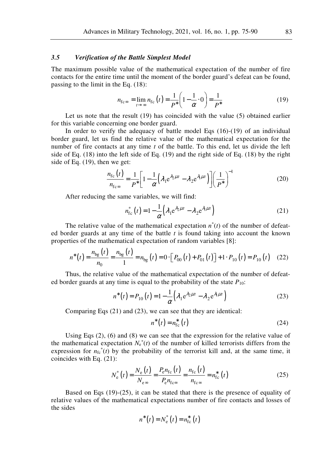#### *3.5 Verification of the Battle Simplest Model*

The maximum possible value of the mathematical expectation of the number of fire contacts for the entire time until the moment of the border guard's defeat can be found, passing to the limit in the Eq. (18):

$$
n_{\text{fc}\infty} = \lim_{t \to \infty} n_{\text{fc}}(t) = \frac{1}{P^*} \left( 1 - \frac{1}{\alpha} \cdot 0 \right) = \frac{1}{P^*}
$$
 (19)

Let us note that the result (19) has coincided with the value (5) obtained earlier for this variable concerning one border guard.

In order to verify the adequacy of battle model Eqs (16)-(19) of an individual border guard, let us find the relative value of the mathematical expectation for the number of fire contacts at any time *t* of the battle. To this end, let us divide the left side of Eq. (18) into the left side of Eq. (19) and the right side of Eq. (18) by the right side of Eq. (19), then we get:

$$
\frac{n_{\rm fc}(t)}{n_{\rm fcc}} = \frac{1}{P^*} \bigg[ 1 - \frac{1}{\alpha} \Big( \lambda_1 e^{\lambda_2 \mu t} - \lambda_2 e^{\lambda_1 \mu t} \Big) \bigg] \bigg( \frac{1}{P^*} \bigg)^{-1} \tag{20}
$$

After reducing the same variables, we will find:

$$
n_{\rm fc}^*(t) = 1 - \frac{1}{\alpha} \left( \lambda_1 e^{\lambda_2 \mu t} - \lambda_2 e^{\lambda_1 \mu t} \right)
$$
 (21)

The relative value of the mathematical expectation  $n^*(t)$  of the number of defeated border guards at any time of the battle *t* is found taking into account the known properties of the mathematical expectation of random variables [8]:

$$
n^*(t) = \frac{n_{\text{bg}}(t)}{n_0} = \frac{n_{\text{bg}}(t)}{1} = n_{\text{bg}}(t) = 0 \cdot \left[ P_{00}(t) + P_{01}(t) \right] + 1 \cdot P_{10}(t) = P_{10}(t) \quad (22)
$$

Thus, the relative value of the mathematical expectation of the number of defeated border guards at any time is equal to the probability of the state  $P_{10}$ :

$$
n^*(t) = P_{10}(t) = 1 - \frac{1}{\alpha} \left( \lambda_1 e^{\lambda_2 \mu t} - \lambda_2 e^{\lambda_1 \mu t} \right)
$$
 (23)

Comparing Eqs (21) and (23), we can see that they are identical:

$$
n^*(t) = n_{\text{fc}}^*(t) \tag{24}
$$

Using Eqs (2), (6) and (8) we can see that the expression for the relative value of the mathematical expectation  $N_e^*(t)$  of the number of killed terrorists differs from the expression for  $n_{fc}^{*}(t)$  by the probability of the terrorist kill and, at the same time, it coincides with Eq. (21):

$$
N_{\rm e}^*(t) = \frac{N_{\rm e}(t)}{N_{\rm e}\,\infty} = \frac{P_{\rm e}n_{\rm fc}(t)}{P_{\rm e}n_{\rm f\infty}} = \frac{n_{\rm fc}(t)}{n_{\rm f\infty}} = n_{\rm fc}^*(t)
$$
\n(25)

Based on Eqs (19)-(25), it can be stated that there is the presence of equality of relative values of the mathematical expectations number of fire contacts and losses of the sides

$$
n^*(t) = N_e^*(t) = n_{\text{fc}}^*(t)
$$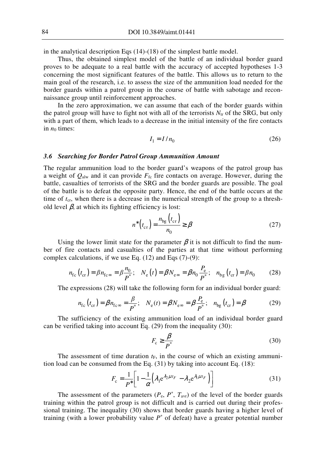in the analytical description Eqs (14)-(18) of the simplest battle model.

Thus, the obtained simplest model of the battle of an individual border guard proves to be adequate to a real battle with the accuracy of accepted hypotheses 1-3 concerning the most significant features of the battle. This allows us to return to the main goal of the research, i.e. to assess the size of the ammunition load needed for the border guards within a patrol group in the course of battle with sabotage and reconnaissance group until reinforcement approaches.

In the zero approximation, we can assume that each of the border guards within the patrol group will have to fight not with all of the terrorists  $N_{tr}$  of the SRG, but only with a part of them, which leads to a decrease in the initial intensity of the fire contacts in  $n_0$  times:

$$
I_1 = I / n_0 \tag{26}
$$

#### *3.6 Searching for Border Patrol Group Ammunition Amount*

The regular ammunition load to the border guard's weapons of the patrol group has a weight of  $Q_{\text{alw}}$  and it can provide  $F_{\text{fc}}$  fire contacts on average. However, during the battle, casualties of terrorists of the SRG and the border guards are possible. The goal of the battle is to defeat the opposite party. Hence, the end of the battle occurs at the time of  $t_{cr}$ , when there is a decrease in the numerical strength of the group to a threshold level  $\beta$ , at which its fighting efficiency is lost:

$$
n^*\left(t_{\text{cr}}\right) = \frac{n_{\text{bg}}\left(t_{\text{cr}}\right)}{n_0} \ge \beta \tag{27}
$$

Using the lower limit state for the parameter  $\beta$  it is not difficult to find the number of fire contacts and casualties of the parties at that time without performing complex calculations, if we use Eq.  $(12)$  and Eqs  $(7)-(9)$ :

$$
n_{\rm fc}(t_{\rm cr}) = \beta n_{\rm fc} = \beta \frac{n_0}{P^*}; \quad N_{\rm e}(t) = \beta N_{\rm e} = \beta n_0 \frac{P_{\rm e}}{P^*}; \quad n_{\rm bg}(t_{\rm cr}) = \beta n_0 \tag{28}
$$

The expressions (28) will take the following form for an individual border guard:

$$
n_{\rm fc}(t_{\rm cr}) = \beta n_{\rm fc} = \frac{\beta}{P^*}; \quad N_{\rm e}(t) = \beta N_{\rm ee} = \beta \frac{P_{\rm e}}{P^*}; \quad n_{\rm bg}(t_{\rm cr}) = \beta \tag{29}
$$

The sufficiency of the existing ammunition load of an individual border guard can be verified taking into account Eq. (29) from the inequality (30):

$$
F_{\rm c} \ge \frac{\beta}{p^*} \tag{30}
$$

The assessment of time duration  $t_F$ , in the course of which an existing ammunition load can be consumed from the Eq. (31) by taking into account Eq. (18):

$$
F_{\rm c} = \frac{1}{P^*} \left[ 1 - \frac{1}{\alpha} \left( \lambda_1 e^{\lambda_2 \mu t_F} - \lambda_2 e^{\lambda_1 \mu t_F} \right) \right] \tag{31}
$$

The assessment of the parameters  $(P_e, P^*, T_{\text{avr}})$  of the level of the border guards training within the patrol group is not difficult and is carried out during their professional training. The inequality (30) shows that border guards having a higher level of training (with a lower probability value  $P^*$  of defeat) have a greater potential number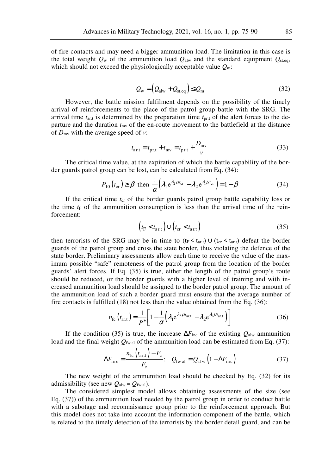of fire contacts and may need a bigger ammunition load. The limitation in this case is the total weight  $O_w$  of the ammunition load  $O_{\text{alw}}$  and the standard equipment  $O_{\text{st.eq}}$ , which should not exceed the physiologically acceptable value *Q*m:

$$
Q_{\rm w} = (Q_{\rm alw} + Q_{\rm st.eq}) \le Q_{\rm m} \tag{32}
$$

However, the battle mission fulfilment depends on the possibility of the timely arrival of reinforcements to the place of the patrol group battle with the SRG. The arrival time *t*ar.t is determined by the preparation time *t*pr.t of the alert forces to the departure and the duration  $t_{\text{mv}}$  of the en-route movement to the battlefield at the distance of  $D_{\text{mv}}$  with the average speed of *v*:

$$
t_{\rm art} = t_{\rm pr.t} + t_{\rm mv} = t_{\rm pr.t} + \frac{D_{\rm mv}}{v}
$$
 (33)

The critical time value, at the expiration of which the battle capability of the border guards patrol group can be lost, can be calculated from Eq. (34):

$$
P_{10}(t_{\rm cr}) \ge \beta \text{ then } \frac{1}{\alpha} \Big( \lambda_1 e^{\lambda_2 \mu t_{\rm cr}} - \lambda_2 e^{\lambda_1 \mu t_{\rm cr}} \Big) = 1 - \beta \tag{34}
$$

If the critical time  $t_{cr}$  of the border guards patrol group battle capability loss or the time  $t_F$  of the ammunition consumption is less than the arrival time of the reinforcement:

$$
\left(t_{\rm F} < t_{\rm art}\right) \cup \left(t_{\rm cr} < t_{\rm art}\right) \tag{35}
$$

then terrorists of the SRG may be in time to  $(t_F < t_{art}) \cup (t_{cr} < t_{art})$  defeat the border guards of the patrol group and cross the state border, thus violating the defence of the state border. Preliminary assessments allow each time to receive the value of the maximum possible "safe" remoteness of the patrol group from the location of the border guards' alert forces. If Eq. (35) is true, either the length of the patrol group's route should be reduced, or the border guards with a higher level of training and with increased ammunition load should be assigned to the border patrol group. The amount of the ammunition load of such a border guard must ensure that the average number of fire contacts is fulfilled (18) not less than the value obtained from the Eq. (36):

$$
n_{\rm fc}(t_{\rm art}) = \frac{1}{P^*} \left[ 1 - \frac{1}{\alpha} \left( \lambda_1 e^{\lambda_2 \mu t_{\rm art}} - \lambda_2 e^{\lambda_1 \mu t_{\rm art}} \right) \right]
$$
(36)

If the condition (35) is true, the increase  $\Delta F_{\text{inc}}$  of the existing  $Q_{\text{alw}}$  ammunition load and the final weight  $Q_{fwa}$  of the ammunition load can be estimated from Eq. (37):

$$
\Delta F_{\text{inc}} = \frac{n_{\text{fc}}(t_{\text{art}}) - F_{\text{c}}}{F_{\text{c}}}; \quad Q_{\text{fw al}} = Q_{\text{alw}}(1 + \Delta F_{\text{inc}})
$$
(37)

The new weight of the ammunition load should be checked by Eq. (32) for its admissibility (see new  $Q_{\text{alw}} = Q_{\text{fw al}}$ ).

The considered simplest model allows obtaining assessments of the size (see Eq. (37)) of the ammunition load needed by the patrol group in order to conduct battle with a sabotage and reconnaissance group prior to the reinforcement approach. But this model does not take into account the information component of the battle, which is related to the timely detection of the terrorists by the border detail guard, and can be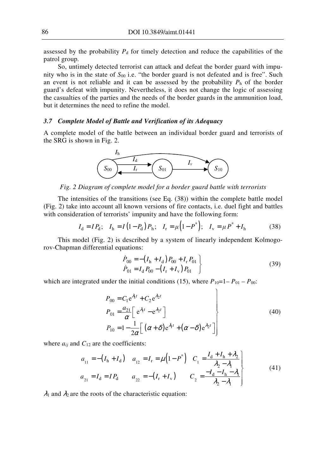assessed by the probability  $P_d$  for timely detection and reduce the capabilities of the patrol group.

So, untimely detected terrorist can attack and defeat the border guard with impunity who is in the state of  $S_{00}$  i.e. "the border guard is not defeated and is free". Such an event is not reliable and it can be assessed by the probability  $P_h$  of the border guard's defeat with impunity. Nevertheless, it does not change the logic of assessing the casualties of the parties and the needs of the border guards in the ammunition load, but it determines the need to refine the model.

#### *3.7 Complete Model of Battle and Verification of its Adequacy*

A complete model of the battle between an individual border guard and terrorists of the SRG is shown in Fig. 2.



*Fig. 2 Diagram of complete model for a border guard battle with terrorists* 

The intensities of the transitions (see Eq. (38)) within the complete battle model (Fig. 2) take into account all known versions of fire contacts, i.e. duel fight and battles with consideration of terrorists' impunity and have the following form:

$$
I_{\rm d} = IP_{\rm d}; \quad I_{\rm h} = I\left(1 - P_{\rm d}\right)P_{\rm h}; \quad I_{\rm r} = \mu\left(1 - P^*\right); \quad I_{\rm v} = \mu P^* + I_{\rm h} \tag{38}
$$

This model (Fig. 2) is described by a system of linearly independent Kolmogorov-Chapman differential equations:

$$
\dot{P}_{00} = -\left(I_{\rm h} + I_{\rm d}\right) P_{00} + I_{\rm r} P_{01} \n\dot{P}_{01} = I_{\rm d} P_{00} - \left(I_{\rm r} + I_{\rm v}\right) P_{01}
$$
\n(39)

 $\Delta$ 

which are integrated under the initial conditions (15), where  $P_{10}=1-P_{01}-P_{00}$ .

$$
P_{00} = C_1 e^{\lambda_1 t} + C_2 e^{\lambda_2 t}
$$
  
\n
$$
P_{01} = \frac{a_{21}}{\alpha} \left[ e^{\lambda_1 t} - e^{\lambda_2 t} \right]
$$
  
\n
$$
P_{10} = 1 - \frac{1}{2\alpha} \left[ \left( \alpha + \delta \right) e^{\lambda_1 t} + \left( \alpha - \delta \right) e^{\lambda_2 t} \right]
$$
\n(40)

where  $a_{ij}$  and  $C_{12}$  are the coefficients:

$$
a_{11} = -(I_h + I_d) \quad a_{12} = I_r = \mu (1 - P^*) \quad C_1 = \frac{I_d + I_h + \lambda_2}{\lambda_2 - \lambda_1} a_{21} = I_d = IP_d \quad a_{22} = -(I_r + I_v) \quad C_2 = \frac{-I_d - I_h - \lambda_1}{\lambda_2 - \lambda_1} \tag{41}
$$

 $\lambda_1$  and  $\lambda_2$  are the roots of the characteristic equation: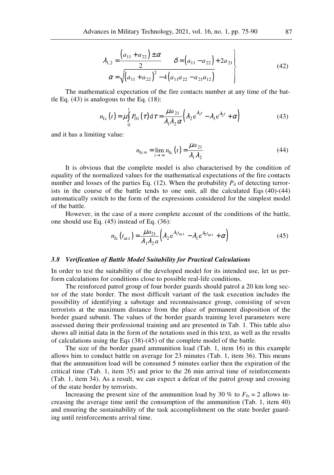$$
\lambda_{1,2} = \frac{\left(a_{11} + a_{22}\right) \pm \alpha}{2} \qquad \delta = \left(a_{11} - a_{22}\right) + 2a_{21} \n\alpha = \sqrt{\left(a_{11} + a_{22}\right)^2 - 4\left(a_{11}a_{22} - a_{21}a_{12}\right)}
$$
\n(42)

The mathematical expectation of the fire contacts number at any time of the battle Eq.  $(43)$  is analogous to the Eq.  $(18)$ :

$$
n_{\rm fc}(t) = \mu \int_{0}^{t} P_{01}(\tau) d\tau = \frac{\mu a_{21}}{\lambda_1 \lambda_2 \alpha} \Big( \lambda_2 e^{\lambda_1 t} - \lambda_1 e^{\lambda_2 t} + \alpha \Big)
$$
(43)

and it has a limiting value:

$$
n_{\text{fc}\infty} = \lim_{t \to \infty} n_{\text{fc}}(t) = \frac{\mu a_{21}}{\lambda_1 \lambda_2} \tag{44}
$$

It is obvious that the complete model is also characterised by the condition of equality of the normalized values for the mathematical expectations of the fire contacts number and losses of the parties Eq. (12). When the probability  $P_d$  of detecting terrorists in the course of the battle tends to one unit, all the calculated Eqs (40)-(44) automatically switch to the form of the expressions considered for the simplest model of the battle.

However, in the case of a more complete account of the conditions of the battle, one should use Eq. (45) instead of Eq. (36):

$$
n_{\rm fc}\left(t_{\rm ar.t}\right) = \frac{\mu a_{21}}{\lambda_1 \lambda_2 a} \left(\lambda_2 e^{\lambda_1 t_{\rm ar.t}} - \lambda_1 e^{\lambda_2 t_{\rm ar.t}} + \alpha\right)
$$
(45)

#### *3.8 Verification of Battle Model Suitability for Practical Calculations*

In order to test the suitability of the developed model for its intended use, let us perform calculations for conditions close to possible real-life conditions.

The reinforced patrol group of four border guards should patrol a 20 km long sector of the state border. The most difficult variant of the task execution includes the possibility of identifying a sabotage and reconnaissance group, consisting of seven terrorists at the maximum distance from the place of permanent disposition of the border guard subunit. The values of the border guards training level parameters were assessed during their professional training and are presented in Tab. 1. This table also shows all initial data in the form of the notations used in this text, as well as the results of calculations using the Eqs (38)-(45) of the complete model of the battle.

The size of the border guard ammunition load (Tab. 1, item 16) in this example allows him to conduct battle on average for 23 minutes (Tab. 1, item 36). This means that the ammunition load will be consumed 5 minutes earlier then the expiration of the critical time (Tab. 1, item 35) and prior to the 26 min arrival time of reinforcements (Tab. 1, item 34). As a result, we can expect a defeat of the patrol group and crossing of the state border by terrorists.

Increasing the present size of the ammunition load by 30 % to  $F_{\text{fc}} = 2$  allows increasing the average time until the consumption of the ammunition (Tab. 1, item 40) and ensuring the sustainability of the task accomplishment on the state border guarding until reinforcements arrival time.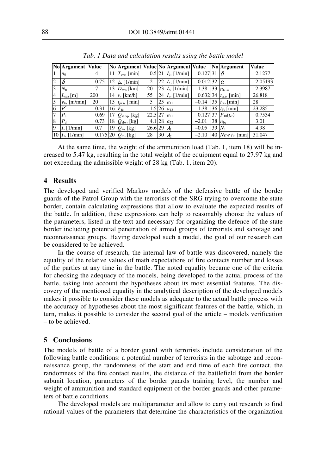|                | <b>No Argument Value</b> |             |    | No Argument Value No Argument Value |           |        |                         |                       |    | <b>No Argument</b>       | <b>Value</b> |
|----------------|--------------------------|-------------|----|-------------------------------------|-----------|--------|-------------------------|-----------------------|----|--------------------------|--------------|
| 1              | n <sub>0</sub>           | 4           | 11 | $T_{\rm avr}$ , [min]               |           |        | $0.5$ 21 $Id$ , [1/min] | 0.127 31              |    |                          | 2.1277       |
| $\overline{2}$ | $\beta$                  | 0.75        | 12 | $\mu$ , [1/min]                     | 2         |        | 22 $Ih$ , [1/min]       | $0.012$ <sub>32</sub> |    | $\alpha$                 | 2.05193      |
| $\overline{3}$ | $N_{\rm tr}$             |             | 13 | $D_{\text{mv}}$ , [km]              | 20        | 23     | $I_{r}$ , [1/min]       | 1.38                  | 33 | $n_{\text{fc},\infty}$   | 2.3987       |
| $\overline{4}$ | $L_{\rm str}$ , [m]      | 200         | 14 | $\nu$ , [km/h]                      | 55        |        | 24 $I_v$ , [1/min]      | 0.632 34              |    | $t_{\text{ar.t.}}$ [min] | 26.818       |
| 5              | $v_{tr}$ , [m/min]       | 20          | 15 | $t_{pr.t.}$ [ min]                  | 5         | 25     | $a_{11}$                | $-0.14$               | 35 | $t_{cr}$ , [min]         | 28           |
| 6              | $\boldsymbol{p}^*$       | 0.31        | 16 | $F_{\rm fc}$                        |           |        | $1.5$ 26 $a_{12}$       | 1.38                  |    | 36 $t_F$ , [min]         | 23.285       |
| $\overline{7}$ | $P_e$                    | 0.69        | 17 | $Q_{\rm st,eq}$ , [kg]              | $22.5$ 27 |        | $a_{21}$                | 0.127 37              |    | $P_{10}(t_{cr})$         | 0.7534       |
| 8              | $P_{d}$                  | 0.73        | 18 | $Q_{\text{alw}}$ , [kg]             |           | 4.1 28 | $a_{22}$                | $-2.01$               |    | 38 $n_{\text{bg}}$       | 3.01         |
| $\overline{9}$ | $I, [1/\text{min}]$      | 0.7         | 19 | $Q_{\rm w}$ , [kg]                  | 26.6 29   |        | $\lambda_1$             | $-0.05$               | 39 | $N_e$                    | 4.98         |
|                | 10 $I_1$ , [1/min]       | $0.175$  20 |    | $Q_m$ , [kg]                        | 28        | 30     | $\lambda$               | $-2.10$               |    | 40 New $t_{\rm E}$ [min] | 31.047       |

*Tab. 1 Data and calculation results using the battle model* 

At the same time, the weight of the ammunition load (Tab. 1, item 18) will be increased to 5.47 kg, resulting in the total weight of the equipment equal to 27.97 kg and not exceeding the admissible weight of 28 kg (Tab. 1, item 20).

# **4 Results**

The developed and verified Markov models of the defensive battle of the border guards of the Patrol Group with the terrorists of the SRG trying to overcome the state border, contain calculating expressions that allow to evaluate the expected results of the battle. In addition, these expressions can help to reasonably choose the values of the parameters, listed in the text and necessary for organizing the defence of the state border including potential penetration of armed groups of terrorists and sabotage and reconnaissance groups. Having developed such a model, the goal of our research can be considered to be achieved.

In the course of research, the internal law of battle was discovered, namely the equality of the relative values of math expectations of fire contacts number and losses of the parties at any time in the battle. The noted equality became one of the criteria for checking the adequacy of the models, being developed to the actual process of the battle, taking into account the hypotheses about its most essential features. The discovery of the mentioned equality in the analytical description of the developed models makes it possible to consider these models as adequate to the actual battle process with the accuracy of hypotheses about the most significant features of the battle, which, in turn, makes it possible to consider the second goal of the article – models verification – to be achieved.

## **5 Conclusions**

The models of battle of a border guard with terrorists include consideration of the following battle conditions: a potential number of terrorists in the sabotage and reconnaissance group, the randomness of the start and end time of each fire contact, the randomness of the fire contact results, the distance of the battlefield from the border subunit location, parameters of the border guards training level, the number and weight of ammunition and standard equipment of the border guards and other parameters of battle conditions.

The developed models are multiparameter and allow to carry out research to find rational values of the parameters that determine the characteristics of the organization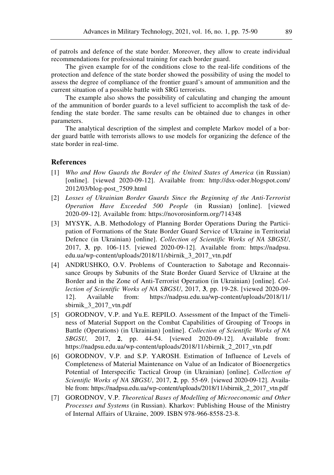of patrols and defence of the state border. Moreover, they allow to create individual recommendations for professional training for each border guard.

The given example for of the conditions close to the real-life conditions of the protection and defence of the state border showed the possibility of using the model to assess the degree of compliance of the frontier guard's amount of ammunition and the current situation of a possible battle with SRG terrorists.

The example also shows the possibility of calculating and changing the amount of the ammunition of border guards to a level sufficient to accomplish the task of defending the state border. The same results can be obtained due to changes in other parameters.

The analytical description of the simplest and complete Markov model of a border guard battle with terrorists allows to use models for organizing the defence of the state border in real-time.

# **References**

- [1] *Who and How Guards the Border of the United States of America* (in Russian) [online]. [viewed 2020-09-12]. Available from: http://dsx-oder.blogspot.com/ 2012/03/blog-post\_7509.html
- [2] *Losses of Ukrainian Border Guards Since the Beginning of the Anti-Terrorist Operation Have Exceeded 500 People* (in Russian) [online]. [viewed 2020-09-12]. Available from: https://novorosinform.org/714348
- [3] MYSYK, A.B. Methodology of Planning Border Operations During the Participation of Formations of the State Border Guard Service of Ukraine in Territorial Defence (in Ukrainian) [online]. *Collection of Scientific Works of NA SBGSU*, 2017, **3**, pp. 106-115. [viewed 2020-09-12]. Available from: https://nadpsu. edu.ua/wp-content/uploads/2018/11/sbirnik\_3\_2017\_vtn.pdf
- [4] ANDRUSHKO, O.V. Problems of Counteraction to Sabotage and Reconnaissance Groups by Subunits of the State Border Guard Service of Ukraine at the Border and in the Zone of Anti-Terrorist Operation (in Ukrainian) [online]. *Collection of Scientific Works of NA SBGSU*, 2017, **3**, pp. 19-28. [viewed 2020-09- 12]. Available from: https://nadpsu.edu.ua/wp-content/uploads/2018/11/ sbirnik\_3\_2017\_vtn.pdf
- [5] GORODNOV, V.P. and Yu.E. REPILO. Assessment of the Impact of the Timeliness of Material Support on the Combat Capabilities of Grouping of Troops in Battle (Operations) (in Ukrainian) [online]. *Collection of Scientific Works of NA SBGSU,* 2017, **2**, pp. 44-54. [viewed 2020-09-12]. Available from: https://nadpsu.edu.ua/wp-content/uploads/2018/11/sbirnik\_2\_2017\_vtn.pdf
- [6] GORODNOV, V.P. and S.P. YAROSH. Estimation of Influence of Levels of Completeness of Material Maintenance on Value of an Indicator of Bioenergetics Potential of Interspecific Tactical Group (in Ukrainian) [online]. *Collection of Scientific Works of NA SBGSU*, 2017, **2**, pp. 55-69. [viewed 2020-09-12]. Available from: https://nadpsu.edu.ua/wp-content/uploads/2018/11/sbirnik\_2\_2017\_vtn.pdf
- [7] GORODNOV, V.P. *Theoretical Bases of Modelling of Microeconomic and Other Processes and Systems* (in Russian). Kharkov: Publishing House of the Ministry of Internal Affairs of Ukraine, 2009. ISBN 978-966-8558-23-8.